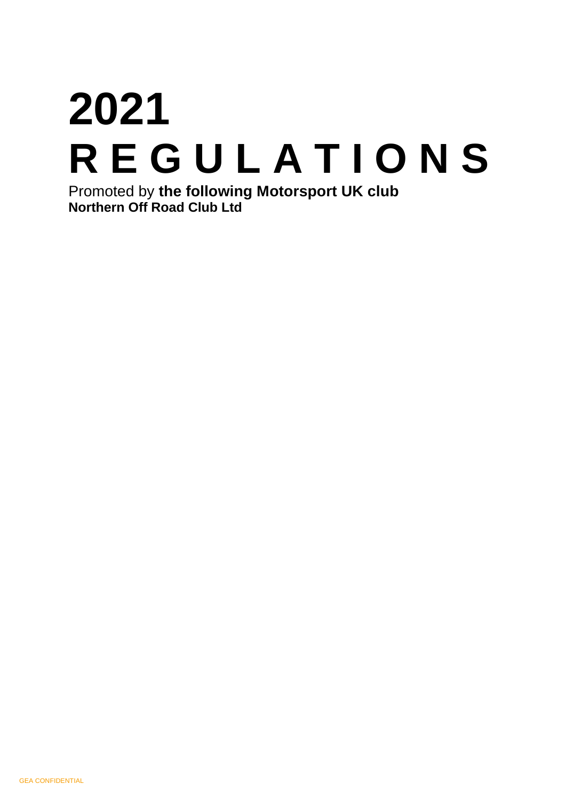# **2021 R E G U L A T I O N S**  Promoted by **the following Motorsport UK club**

**Northern Off Road Club Ltd**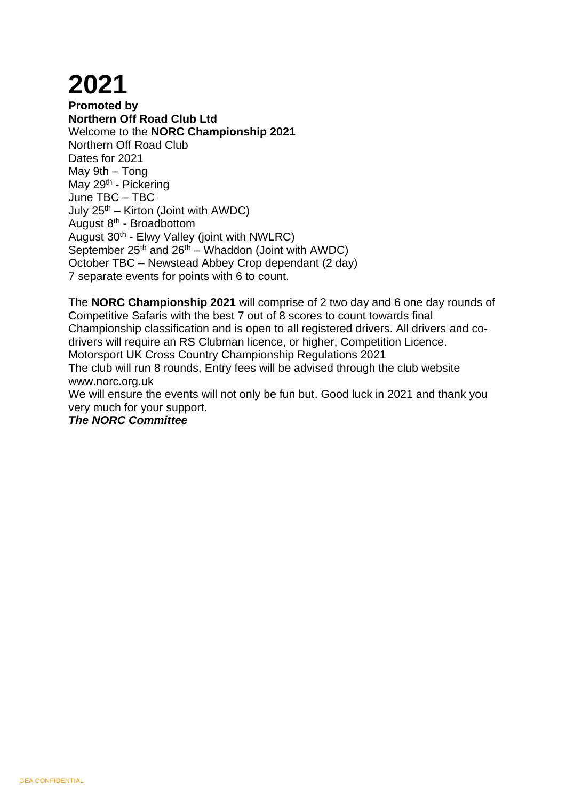## **2021**

**Promoted by Northern Off Road Club Ltd**  Welcome to the **NORC Championship 2021** Northern Off Road Club Dates for 2021 May 9th – Tong May 29<sup>th</sup> - Pickering June TBC – TBC July  $25<sup>th</sup>$  – Kirton (Joint with AWDC) August 8<sup>th</sup> - Broadbottom August 30<sup>th</sup> - Elwy Valley (joint with NWLRC) September  $25<sup>th</sup>$  and  $26<sup>th</sup>$  – Whaddon (Joint with AWDC) October TBC – Newstead Abbey Crop dependant (2 day) 7 separate events for points with 6 to count.

The **NORC Championship 2021** will comprise of 2 two day and 6 one day rounds of Competitive Safaris with the best 7 out of 8 scores to count towards final Championship classification and is open to all registered drivers. All drivers and codrivers will require an RS Clubman licence, or higher, Competition Licence. Motorsport UK Cross Country Championship Regulations 2021 The club will run 8 rounds, Entry fees will be advised through the club website www.norc.org.uk We will ensure the events will not only be fun but. Good luck in 2021 and thank you very much for your support.

*The NORC Committee*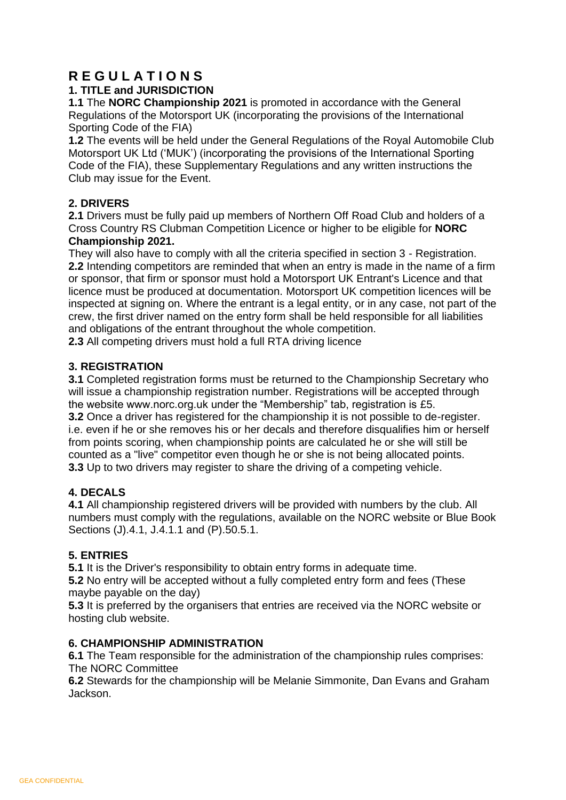## **R E G U L A T I O N S**

#### **1. TITLE and JURISDICTION**

**1.1** The **NORC Championship 2021** is promoted in accordance with the General Regulations of the Motorsport UK (incorporating the provisions of the International Sporting Code of the FIA)

**1.2** The events will be held under the General Regulations of the Royal Automobile Club Motorsport UK Ltd ('MUK') (incorporating the provisions of the International Sporting Code of the FIA), these Supplementary Regulations and any written instructions the Club may issue for the Event.

#### **2. DRIVERS**

**2.1** Drivers must be fully paid up members of Northern Off Road Club and holders of a Cross Country RS Clubman Competition Licence or higher to be eligible for **NORC Championship 2021.** 

They will also have to comply with all the criteria specified in section 3 - Registration. **2.2** Intending competitors are reminded that when an entry is made in the name of a firm or sponsor, that firm or sponsor must hold a Motorsport UK Entrant's Licence and that licence must be produced at documentation. Motorsport UK competition licences will be inspected at signing on. Where the entrant is a legal entity, or in any case, not part of the crew, the first driver named on the entry form shall be held responsible for all liabilities and obligations of the entrant throughout the whole competition.

**2.3** All competing drivers must hold a full RTA driving licence

#### **3. REGISTRATION**

**3.1** Completed registration forms must be returned to the Championship Secretary who will issue a championship registration number. Registrations will be accepted through the website www.norc.org.uk under the "Membership" tab, registration is £5. **3.2** Once a driver has registered for the championship it is not possible to de-register. i.e. even if he or she removes his or her decals and therefore disqualifies him or herself from points scoring, when championship points are calculated he or she will still be counted as a "live" competitor even though he or she is not being allocated points. **3.3** Up to two drivers may register to share the driving of a competing vehicle.

#### **4. DECALS**

**4.1** All championship registered drivers will be provided with numbers by the club. All numbers must comply with the regulations, available on the NORC website or Blue Book Sections (J).4.1, J.4.1.1 and (P).50.5.1.

#### **5. ENTRIES**

**5.1** It is the Driver's responsibility to obtain entry forms in adequate time.

**5.2** No entry will be accepted without a fully completed entry form and fees (These maybe payable on the day)

**5.3** It is preferred by the organisers that entries are received via the NORC website or hosting club website.

#### **6. CHAMPIONSHIP ADMINISTRATION**

**6.1** The Team responsible for the administration of the championship rules comprises: The NORC Committee

**6.2** Stewards for the championship will be Melanie Simmonite, Dan Evans and Graham Jackson.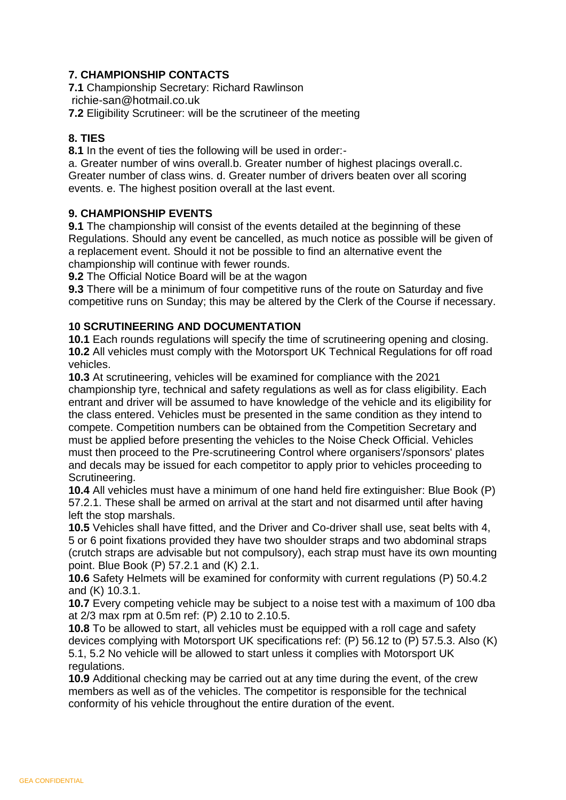#### **7. CHAMPIONSHIP CONTACTS**

**7.1** Championship Secretary: Richard Rawlinson

[richie-san@hotmail.co.uk](mailto:richie-san@hotmail.co.uk)

**7.2** Eligibility Scrutineer: will be the scrutineer of the meeting

#### **8. TIES**

**8.1** In the event of ties the following will be used in order:-

a. Greater number of wins overall.b. Greater number of highest placings overall.c. Greater number of class wins. d. Greater number of drivers beaten over all scoring events. e. The highest position overall at the last event.

#### **9. CHAMPIONSHIP EVENTS**

**9.1** The championship will consist of the events detailed at the beginning of these Regulations. Should any event be cancelled, as much notice as possible will be given of a replacement event. Should it not be possible to find an alternative event the championship will continue with fewer rounds.

**9.2** The Official Notice Board will be at the wagon

**9.3** There will be a minimum of four competitive runs of the route on Saturday and five competitive runs on Sunday; this may be altered by the Clerk of the Course if necessary.

#### **10 SCRUTINEERING AND DOCUMENTATION**

**10.1** Each rounds regulations will specify the time of scrutineering opening and closing. **10.2** All vehicles must comply with the Motorsport UK Technical Regulations for off road vehicles.

**10.3** At scrutineering, vehicles will be examined for compliance with the 2021 championship tyre, technical and safety regulations as well as for class eligibility. Each entrant and driver will be assumed to have knowledge of the vehicle and its eligibility for the class entered. Vehicles must be presented in the same condition as they intend to compete. Competition numbers can be obtained from the Competition Secretary and must be applied before presenting the vehicles to the Noise Check Official. Vehicles must then proceed to the Pre-scrutineering Control where organisers'/sponsors' plates and decals may be issued for each competitor to apply prior to vehicles proceeding to Scrutineering.

**10.4** All vehicles must have a minimum of one hand held fire extinguisher: Blue Book (P) 57.2.1. These shall be armed on arrival at the start and not disarmed until after having left the stop marshals.

**10.5** Vehicles shall have fitted, and the Driver and Co-driver shall use, seat belts with 4, 5 or 6 point fixations provided they have two shoulder straps and two abdominal straps (crutch straps are advisable but not compulsory), each strap must have its own mounting point. Blue Book (P) 57.2.1 and (K) 2.1.

**10.6** Safety Helmets will be examined for conformity with current regulations (P) 50.4.2 and (K) 10.3.1.

**10.7** Every competing vehicle may be subject to a noise test with a maximum of 100 dba at 2/3 max rpm at 0.5m ref: (P) 2.10 to 2.10.5.

**10.8** To be allowed to start, all vehicles must be equipped with a roll cage and safety devices complying with Motorsport UK specifications ref: (P) 56.12 to (P) 57.5.3. Also (K) 5.1, 5.2 No vehicle will be allowed to start unless it complies with Motorsport UK regulations.

**10.9** Additional checking may be carried out at any time during the event, of the crew members as well as of the vehicles. The competitor is responsible for the technical conformity of his vehicle throughout the entire duration of the event.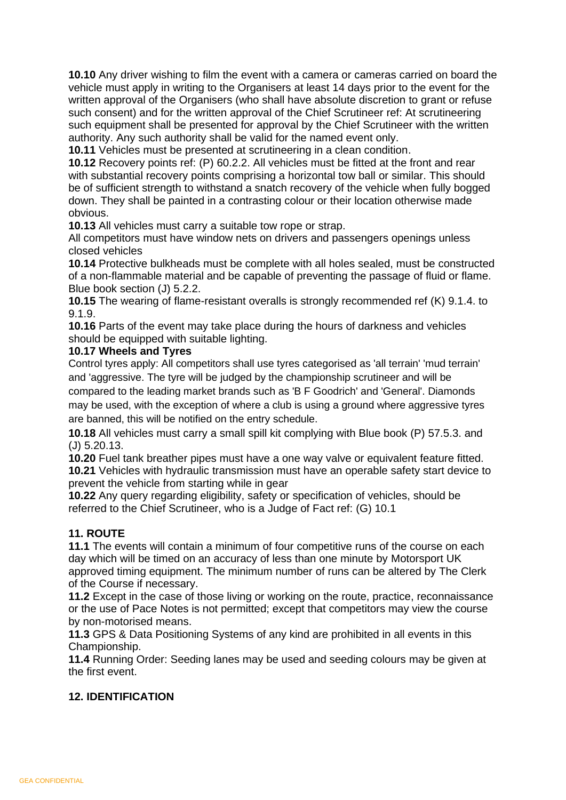**10.10** Any driver wishing to film the event with a camera or cameras carried on board the vehicle must apply in writing to the Organisers at least 14 days prior to the event for the written approval of the Organisers (who shall have absolute discretion to grant or refuse such consent) and for the written approval of the Chief Scrutineer ref: At scrutineering such equipment shall be presented for approval by the Chief Scrutineer with the written authority. Any such authority shall be valid for the named event only.

**10.11** Vehicles must be presented at scrutineering in a clean condition.

**10.12** Recovery points ref: (P) 60.2.2. All vehicles must be fitted at the front and rear with substantial recovery points comprising a horizontal tow ball or similar. This should be of sufficient strength to withstand a snatch recovery of the vehicle when fully bogged down. They shall be painted in a contrasting colour or their location otherwise made obvious.

**10.13** All vehicles must carry a suitable tow rope or strap.

All competitors must have window nets on drivers and passengers openings unless closed vehicles

**10.14** Protective bulkheads must be complete with all holes sealed, must be constructed of a non-flammable material and be capable of preventing the passage of fluid or flame. Blue book section (J) 5.2.2.

**10.15** The wearing of flame-resistant overalls is strongly recommended ref (K) 9.1.4. to 9.1.9.

**10.16** Parts of the event may take place during the hours of darkness and vehicles should be equipped with suitable lighting.

#### **10.17 Wheels and Tyres**

Control tyres apply: All competitors shall use tyres categorised as 'all terrain' 'mud terrain' and 'aggressive. The tyre will be judged by the championship scrutineer and will be compared to the leading market brands such as 'B F Goodrich' and 'General'. Diamonds may be used, with the exception of where a club is using a ground where aggressive tyres

are banned, this will be notified on the entry schedule.

**10.18** All vehicles must carry a small spill kit complying with Blue book (P) 57.5.3. and (J) 5.20.13.

**10.20** Fuel tank breather pipes must have a one way valve or equivalent feature fitted. **10.21** Vehicles with hydraulic transmission must have an operable safety start device to prevent the vehicle from starting while in gear

**10.22** Any query regarding eligibility, safety or specification of vehicles, should be referred to the Chief Scrutineer, who is a Judge of Fact ref: (G) 10.1

#### **11. ROUTE**

**11.1** The events will contain a minimum of four competitive runs of the course on each day which will be timed on an accuracy of less than one minute by Motorsport UK approved timing equipment. The minimum number of runs can be altered by The Clerk of the Course if necessary.

**11.2** Except in the case of those living or working on the route, practice, reconnaissance or the use of Pace Notes is not permitted; except that competitors may view the course by non-motorised means.

**11.3** GPS & Data Positioning Systems of any kind are prohibited in all events in this Championship.

**11.4** Running Order: Seeding lanes may be used and seeding colours may be given at the first event.

#### **12. IDENTIFICATION**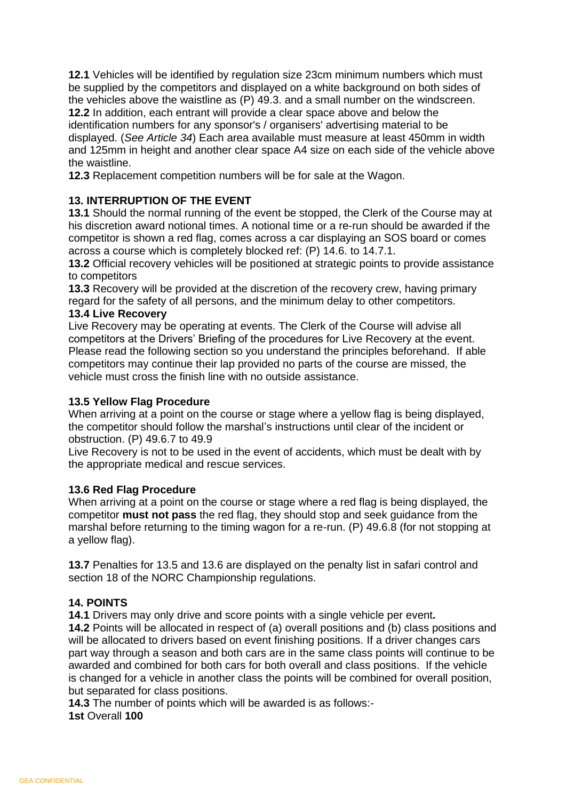**12.1** Vehicles will be identified by regulation size 23cm minimum numbers which must be supplied by the competitors and displayed on a white background on both sides of the vehicles above the waistline as (P) 49.3. and a small number on the windscreen. **12.2** In addition, each entrant will provide a clear space above and below the identification numbers for any sponsor's / organisers' advertising material to be displayed. (*See Article 34*) Each area available must measure at least 450mm in width and 125mm in height and another clear space A4 size on each side of the vehicle above the waistline.

**12.3** Replacement competition numbers will be for sale at the Wagon.

#### **13. INTERRUPTION OF THE EVENT**

**13.1** Should the normal running of the event be stopped, the Clerk of the Course may at his discretion award notional times. A notional time or a re-run should be awarded if the competitor is shown a red flag, comes across a car displaying an SOS board or comes across a course which is completely blocked ref: (P) 14.6. to 14.7.1.

**13.2** Official recovery vehicles will be positioned at strategic points to provide assistance to competitors

**13.3** Recovery will be provided at the discretion of the recovery crew, having primary regard for the safety of all persons, and the minimum delay to other competitors.

#### **13.4 Live Recovery**

Live Recovery may be operating at events. The Clerk of the Course will advise all competitors at the Drivers' Briefing of the procedures for Live Recovery at the event. Please read the following section so you understand the principles beforehand. If able competitors may continue their lap provided no parts of the course are missed, the vehicle must cross the finish line with no outside assistance.

#### **13.5 Yellow Flag Procedure**

When arriving at a point on the course or stage where a yellow flag is being displayed, the competitor should follow the marshal's instructions until clear of the incident or obstruction. (P) 49.6.7 to 49.9

Live Recovery is not to be used in the event of accidents, which must be dealt with by the appropriate medical and rescue services.

#### **13.6 Red Flag Procedure**

When arriving at a point on the course or stage where a red flag is being displayed, the competitor **must not pass** the red flag, they should stop and seek guidance from the marshal before returning to the timing wagon for a re-run. (P) 49.6.8 (for not stopping at a yellow flag).

**13.7** Penalties for 13.5 and 13.6 are displayed on the penalty list in safari control and section 18 of the NORC Championship regulations.

#### **14. POINTS**

**14.1** Drivers may only drive and score points with a single vehicle per event*.*

**14.2** Points will be allocated in respect of (a) overall positions and (b) class positions and will be allocated to drivers based on event finishing positions. If a driver changes cars part way through a season and both cars are in the same class points will continue to be awarded and combined for both cars for both overall and class positions. If the vehicle is changed for a vehicle in another class the points will be combined for overall position, but separated for class positions.

**14.3** The number of points which will be awarded is as follows:- **1st** Overall **100**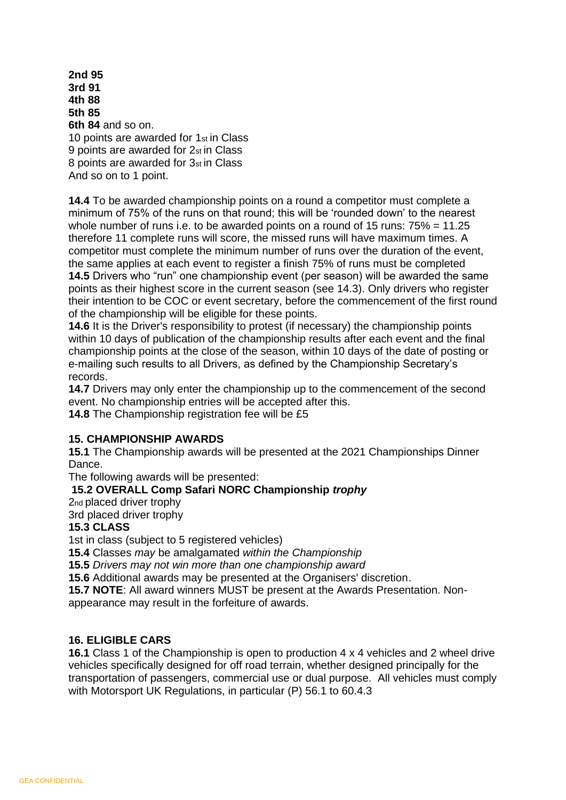**2nd 95 3rd 91 4th 88 5th 85 6th 84** and so on. 10 points are awarded for 1st in Class 9 points are awarded for 2st in Class 8 points are awarded for 3st in Class And so on to 1 point.

**14.4** To be awarded championship points on a round a competitor must complete a minimum of 75% of the runs on that round; this will be 'rounded down' to the nearest whole number of runs i.e. to be awarded points on a round of 15 runs:  $75\% = 11.25$ therefore 11 complete runs will score, the missed runs will have maximum times. A competitor must complete the minimum number of runs over the duration of the event, the same applies at each event to register a finish 75% of runs must be completed **14.5** Drivers who "run" one championship event (per season) will be awarded the same points as their highest score in the current season (see 14.3). Only drivers who register their intention to be COC or event secretary, before the commencement of the first round of the championship will be eligible for these points.

**14.6** It is the Driver's responsibility to protest (if necessary) the championship points within 10 days of publication of the championship results after each event and the final championship points at the close of the season, within 10 days of the date of posting or e-mailing such results to all Drivers, as defined by the Championship Secretary's records.

**14.7** Drivers may only enter the championship up to the commencement of the second event. No championship entries will be accepted after this.

**14.8** The Championship registration fee will be £5

#### **15. CHAMPIONSHIP AWARDS**

**15.1** The Championship awards will be presented at the 2021 Championships Dinner Dance.

The following awards will be presented:

#### **15.2 OVERALL Comp Safari NORC Championship** *trophy*

2nd placed driver trophy

3rd placed driver trophy

#### **15.3 CLASS**

1st in class (subject to 5 registered vehicles)

**15.4** Classes *may* be amalgamated *within the Championship*

**15.5** *Drivers may not win more than one championship award*

**15.6** Additional awards may be presented at the Organisers' discretion.

**15.7 NOTE**: All award winners MUST be present at the Awards Presentation. Nonappearance may result in the forfeiture of awards.

#### **16. ELIGIBLE CARS**

**16.1** Class 1 of the Championship is open to production 4 x 4 vehicles and 2 wheel drive vehicles specifically designed for off road terrain, whether designed principally for the transportation of passengers, commercial use or dual purpose. All vehicles must comply with Motorsport UK Regulations, in particular (P) 56.1 to 60.4.3